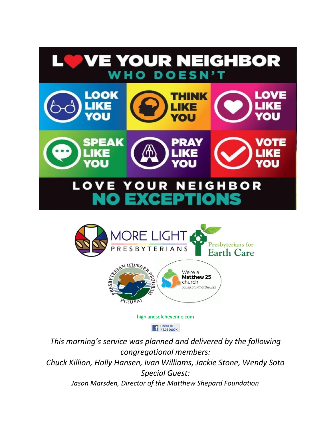



*This morning's service was planned and delivered by the following congregational members: Chuck Killion, Holly Hansen, Ivan Williams, Jackie Stone, Wendy Soto Special Guest: Jason Marsden, Director of the Matthew Shepard Foundation*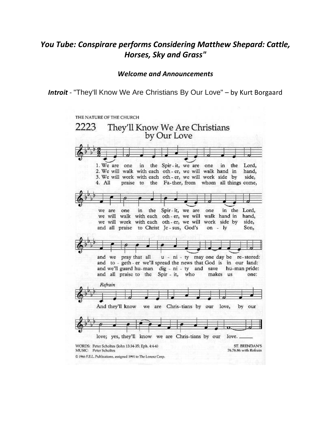### *You Tube: Conspirare performs Considering Matthew Shepard: Cattle, Horses, Sky and Grass"*

#### *Welcome and Announcements*

*Introit* - "They'll Know We Are Christians By Our Love" – by Kurt Borgaard

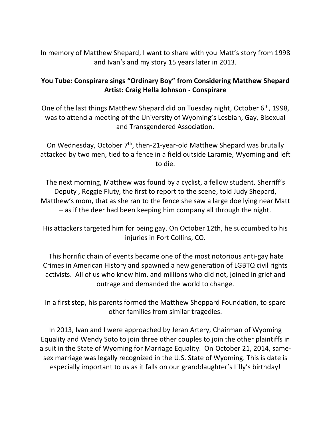In memory of Matthew Shepard, I want to share with you Matt's story from 1998 and Ivan's and my story 15 years later in 2013.

#### **You Tube: Conspirare sings "Ordinary Boy" from Considering Matthew Shepard Artist: Craig Hella Johnson - Conspirare**

One of the last things Matthew Shepard did on Tuesday night, October 6<sup>th</sup>, 1998, was to attend a meeting of the University of Wyoming's Lesbian, Gay, Bisexual and Transgendered Association.

On Wednesday, October 7<sup>th</sup>, then-21-year-old Matthew Shepard was brutally attacked by two men, tied to a fence in a field outside Laramie, Wyoming and left to die.

The next morning, Matthew was found by a cyclist, a fellow student. Sherriff's Deputy , Reggie Fluty, the first to report to the scene, told Judy Shepard, Matthew's mom, that as she ran to the fence she saw a large doe lying near Matt – as if the deer had been keeping him company all through the night.

His attackers targeted him for being gay. On October 12th, he succumbed to his injuries in Fort Collins, CO.

This horrific chain of events became one of the most notorious anti-gay hate Crimes in American History and spawned a new generation of LGBTQ civil rights activists. All of us who knew him, and millions who did not, joined in grief and outrage and demanded the world to change.

In a first step, his parents formed the Matthew Sheppard Foundation, to spare other families from similar tragedies.

In 2013, Ivan and I were approached by Jeran Artery, Chairman of Wyoming Equality and Wendy Soto to join three other couples to join the other plaintiffs in a suit in the State of Wyoming for Marriage Equality. On October 21, 2014, samesex marriage was legally recognized in the U.S. State of Wyoming. This is date is especially important to us as it falls on our granddaughter's Lilly's birthday!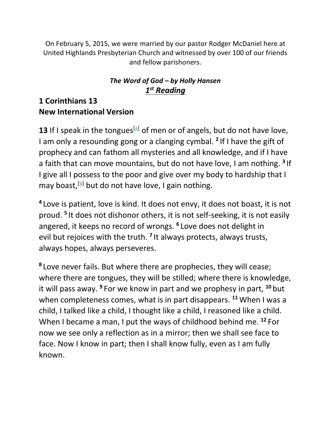On February 5, 2015, we were married by our pastor Rodger McDaniel here at United Highlands Presbyterian Church and witnessed by over 100 of our friends and fellow parishoners.

# *The Word of God – by Holly Hansen 1 st Reading*

## **1 Corinthians 13 New International Version**

**13** If I speak in the tongues<sup>[\[a\]](https://www.biblegateway.com/passage/?search=1%20Corinthians%2013&version=NIV#fen-NIV-28667a)</sup> of men or of angels, but do not have love, I am only a resounding gong or a clanging cymbal. <sup>2</sup> If I have the gift of prophecy and can fathom all mysteries and all knowledge, and if I have a faith that can move mountains, but do not have love, I am nothing. **<sup>3</sup>** If I give all I possess to the poor and give over my body to hardship that I may boast,  $[6]$  but do not have love, I gain nothing.

**4** Love is patient, love is kind. It does not envy, it does not boast, it is not proud. **<sup>5</sup>** It does not dishonor others, it is not self-seeking, it is not easily angered, it keeps no record of wrongs. **<sup>6</sup>** Love does not delight in evil but rejoices with the truth. <sup>7</sup> It always protects, always trusts, always hopes, always perseveres.

**8** Love never fails. But where there are prophecies, they will cease; where there are tongues, they will be stilled; where there is knowledge, it will pass away. **<sup>9</sup>** For we know in part and we prophesy in part, **<sup>10</sup>** but when completeness comes, what is in part disappears. **<sup>11</sup>**When I was a child, I talked like a child, I thought like a child, I reasoned like a child. When I became a man, I put the ways of childhood behind me. **<sup>12</sup>** For now we see only a reflection as in a mirror; then we shall see face to face. Now I know in part; then I shall know fully, even as I am fully known.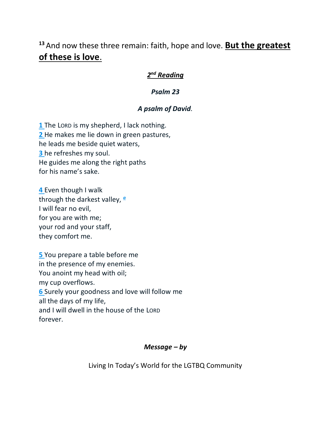# **<sup>13</sup>**And now these three remain: faith, hope and love. **But the greatest of these is love**.

### *2 nd Reading*

### *Psalm 23*

### *A psalm of David.*

**[1](http://biblehub.com/psalms/23-1.htm)** The LORD is my shepherd, I lack nothing. **[2](http://biblehub.com/psalms/23-2.htm)** He makes me lie down in green pastures, he leads me beside quiet waters, **[3](http://biblehub.com/psalms/23-3.htm)** he refreshes my soul. He guides me along the right paths for his name's sake.

**[4](http://biblehub.com/psalms/23-4.htm)** Even though I walk through the darkest valley, *[a](https://www.biblehub.com/niv/psalms/23.htm#footnotes)* I will fear no evil, for you are with me; your rod and your staff, they comfort me.

**[5](http://biblehub.com/psalms/23-5.htm)** You prepare a table before me in the presence of my enemies. You anoint my head with oil; my cup overflows. **[6](http://biblehub.com/psalms/23-6.htm)** Surely your goodness and love will follow me all the days of my life, and I will dwell in the house of the LORD forever.

#### *Message – by*

Living In Today's World for the LGTBQ Community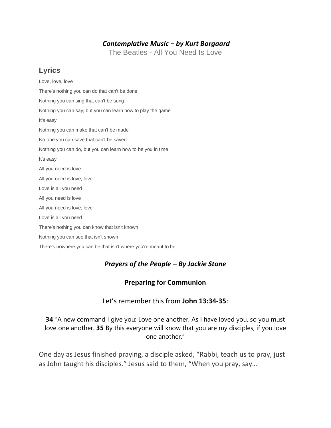#### *Contemplative Music – by Kurt Borgaard*

The Beatles - All You Need Is Love

#### **Lyrics**

Love, love, love There's nothing you can do that can't be done Nothing you can sing that can't be sung Nothing you can say, but you can learn how to play the game It's easy Nothing you can make that can't be made No one you can save that can't be saved Nothing you can do, but you can learn how to be you in time It's easy All you need is love All you need is love, love Love is all you need All you need is love All you need is love, love Love is all you need There's nothing you can know that isn't known Nothing you can see that isn't shown There's nowhere you can be that isn't where you're meant to be

#### *Prayers of the People – By Jackie Stone*

#### **Preparing for Communion**

#### Let's remember this from **John 13:34-35**:

**34** "A new command I give you: Love one another. As I have loved you, so you must love one another. **35** By this everyone will know that you are my disciples, if you love one another."

One day as Jesus finished praying, a disciple asked, "Rabbi, teach us to pray, just as John taught his disciples." Jesus said to them, "When you pray, say…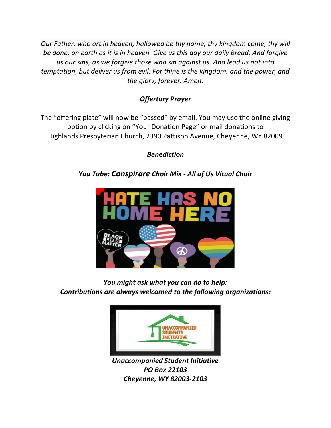*Our Father, who art in heaven, hallowed be thy name, thy kingdom come, thy will be done, on earth as it is in heaven. Give us this day our daily bread. And forgive us our sins, as we forgive those who sin against us. And lead us not into temptation, but deliver us from evil. For thine is the kingdom, and the power, and the glory, forever. Amen.*

## *Offertory Prayer*

The "offering plate" will now be "passed" by email. You may use the online giving option by clicking on "Your Donation Page" or mail donations to Highlands Presbyterian Church, 2390 Pattison Avenue, Cheyenne, WY 82009

### *Benediction*

### *You Tube: Conspirare Choir Mix - All of Us Vitual Choir*



*You might ask what you can do to help: Contributions are always welcomed to the following organizations:*



*Unaccompanied Student Initiative PO Box 22103 Cheyenne, WY 82003-2103*